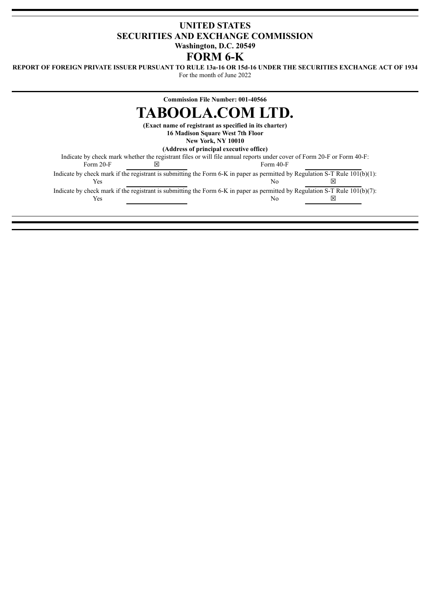## **UNITED STATES SECURITIES AND EXCHANGE COMMISSION Washington, D.C. 20549**

# **FORM 6-K**

REPORT OF FOREIGN PRIVATE ISSUER PURSUANT TO RULE 13a-16 OR 15d-16 UNDER THE SECURITIES EXCHANGE ACT OF 1934

For the month of June 2022

# **Commission File Number: 001-40566 TABOOLA.COM LTD.**

**(Exact name of registrant as specified in its charter)**

**16 Madison Square West 7th Floor**

**New York, NY 10010**

**(Address of principal executive office)**

Indicate by check mark whether the registrant files or will file annual reports under cover of Form 20-F or Form 40-F:<br>Form 20-F  $\boxtimes$  $\boxtimes$  Form 40-F

Indicate by check mark if the registrant is submitting the Form 6-K in paper as permitted by Regulation S-T Rule 101(b)(1):

 $Y$ es  $N$ o  $\boxtimes$ Indicate by check mark if the registrant is submitting the Form 6-K in paper as permitted by Regulation S-T Rule  $101(b)(7)$ :  $\gamma$  Yes No  $\boxtimes$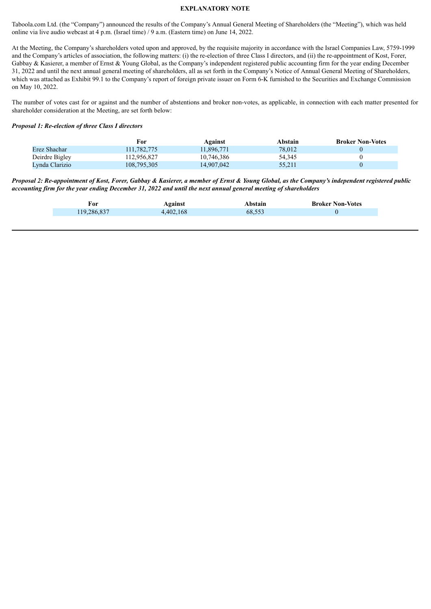#### **EXPLANATORY NOTE**

Taboola.com Ltd. (the "Company") announced the results of the Company's Annual General Meeting of Shareholders (the "Meeting"), which was held online via live audio webcast at 4 p.m. (Israel time) / 9 a.m. (Eastern time) on June 14, 2022.

At the Meeting, the Company's shareholders voted upon and approved, by the requisite majority in accordance with the Israel Companies Law, 5759-1999 and the Company's articles of association, the following matters: (i) the re-election of three Class I directors, and (ii) the re-appointment of Kost, Forer, Gabbay & Kasierer, a member of Ernst & Young Global, as the Company's independent registered public accounting firm for the year ending December 31, 2022 and until the next annual general meeting of shareholders, all as set forth in the Company's Notice of Annual General Meeting of Shareholders, which was attached as Exhibit 99.1 to the Company's report of foreign private issuer on Form 6-K furnished to the Securities and Exchange Commission on May 10, 2022.

The number of votes cast for or against and the number of abstentions and broker non-votes, as applicable, in connection with each matter presented for shareholder consideration at the Meeting, are set forth below:

#### *Proposal 1: Re-election of three Class I directors*

|                | For         | Against    | Abstain | <b>Broker Non-Votes</b> |
|----------------|-------------|------------|---------|-------------------------|
| Erez Shachar   | 111.782.775 | 11.896.771 | 78.012  |                         |
| Deirdre Bigley | 112,956,827 | 10.746.386 | 54.345  |                         |
| Lynda Clarizio | 108,795,305 | 14,907,042 | 55.211  |                         |

Proposal 2: Re-appointment of Kost, Forer, Gabbay & Kasierer, a member of Ernst & Young Global, as the Company's independent registered public accounting firm for the year ending December 31, 2022 and until the next annual general meeting of shareholders

| For         | Against   | Abstain | <b>Broker Non-Votes</b> |
|-------------|-----------|---------|-------------------------|
| 119,286,837 | 4,402,168 | 68,553  |                         |